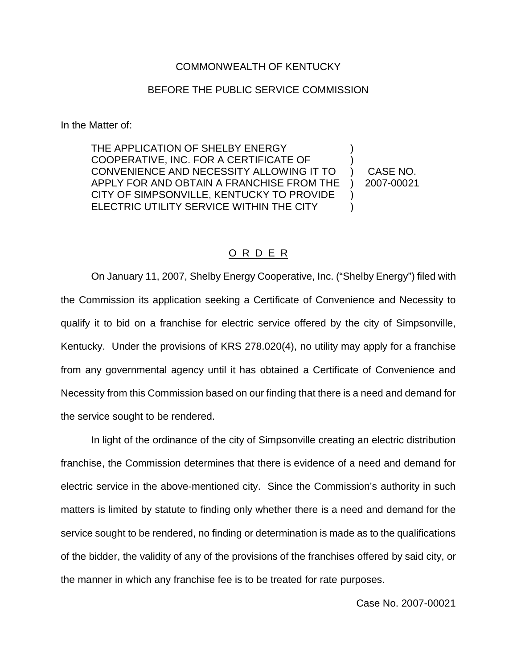## COMMONWEALTH OF KENTUCKY

## BEFORE THE PUBLIC SERVICE COMMISSION

In the Matter of:

THE APPLICATION OF SHELBY ENERGY COOPERATIVE, INC. FOR A CERTIFICATE OF CONVENIENCE AND NECESSITY ALLOWING IT TO APPLY FOR AND OBTAIN A FRANCHISE FROM THE CITY OF SIMPSONVILLE, KENTUCKY TO PROVIDE ELECTRIC UTILITY SERVICE WITHIN THE CITY ) ) ) CASE NO. ) 2007-00021 )  $\lambda$ 

## O R D E R

On January 11, 2007, Shelby Energy Cooperative, Inc. ("Shelby Energy") filed with the Commission its application seeking a Certificate of Convenience and Necessity to qualify it to bid on a franchise for electric service offered by the city of Simpsonville, Kentucky. Under the provisions of KRS 278.020(4), no utility may apply for a franchise from any governmental agency until it has obtained a Certificate of Convenience and Necessity from this Commission based on our finding that there is a need and demand for the service sought to be rendered.

In light of the ordinance of the city of Simpsonville creating an electric distribution franchise, the Commission determines that there is evidence of a need and demand for electric service in the above-mentioned city. Since the Commission's authority in such matters is limited by statute to finding only whether there is a need and demand for the service sought to be rendered, no finding or determination is made as to the qualifications of the bidder, the validity of any of the provisions of the franchises offered by said city, or the manner in which any franchise fee is to be treated for rate purposes.

Case No. 2007-00021